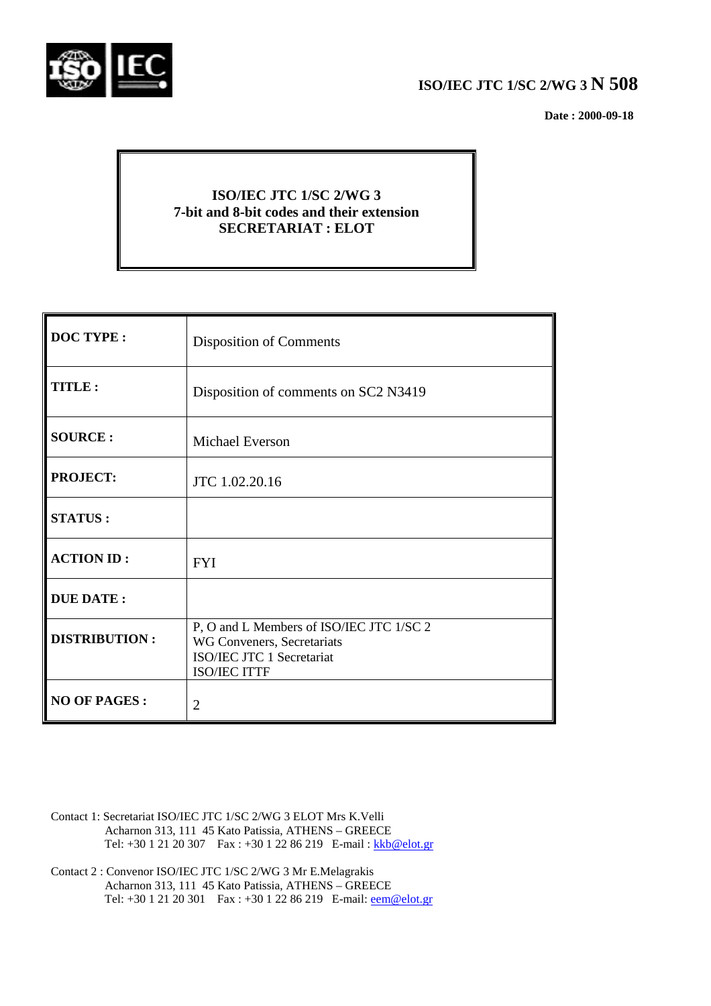

## **ISO/IEC JTC 1/SC 2/WG 3 N 508**

 **Date : 2000-09-18**

## **ISO/IEC JTC 1/SC 2/WG 3 7-bit and 8-bit codes and their extension SECRETARIAT : ELOT**

| <b>DOC TYPE:</b>     | <b>Disposition of Comments</b>                                                                                             |
|----------------------|----------------------------------------------------------------------------------------------------------------------------|
| TITLE:               | Disposition of comments on SC2 N3419                                                                                       |
| <b>SOURCE:</b>       | Michael Everson                                                                                                            |
| <b>PROJECT:</b>      | JTC 1.02.20.16                                                                                                             |
| <b>STATUS:</b>       |                                                                                                                            |
| <b>ACTION ID:</b>    | <b>FYI</b>                                                                                                                 |
| <b>DUE DATE:</b>     |                                                                                                                            |
| <b>DISTRIBUTION:</b> | P, O and L Members of ISO/IEC JTC 1/SC 2<br><b>WG Conveners, Secretariats</b><br>ISO/IEC JTC 1 Secretariat<br>ISO/IEC ITTF |
| <b>NO OF PAGES:</b>  | $\overline{2}$                                                                                                             |

- Contact 1: Secretariat ISO/IEC JTC 1/SC 2/WG 3 ELOT Mrs K.Velli Acharnon 313, 111 45 Kato Patissia, ATHENS – GREECE Tel: +30 1 21 20 307 Fax : +30 1 22 86 219 E-mail : kkb@elot.gr
- Contact 2 : Convenor ISO/IEC JTC 1/SC 2/WG 3 Mr E.Melagrakis Acharnon 313, 111 45 Kato Patissia, ATHENS – GREECE Tel: +30 1 21 20 301 Fax : +30 1 22 86 219 E-mail: <u>eem@elot.gr</u>